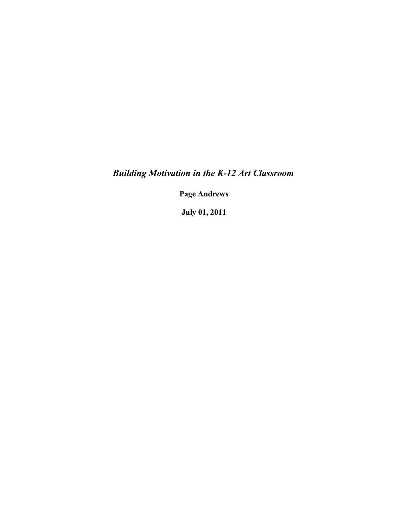*Building Motivation in the K-12 Art Classroom*

**Page Andrews**

**July 01, 2011**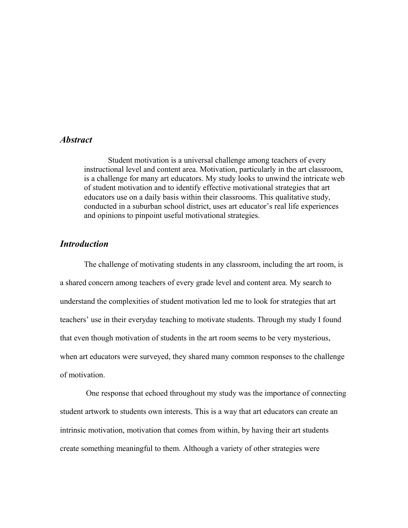## *Abstract*

Student motivation is a universal challenge among teachers of every instructional level and content area. Motivation, particularly in the art classroom, is a challenge for many art educators. My study looks to unwind the intricate web of student motivation and to identify effective motivational strategies that art educators use on a daily basis within their classrooms. This qualitative study, conducted in a suburban school district, uses art educator's real life experiences and opinions to pinpoint useful motivational strategies.

## *Introduction*

The challenge of motivating students in any classroom, including the art room, is a shared concern among teachers of every grade level and content area. My search to understand the complexities of student motivation led me to look for strategies that art teachers' use in their everyday teaching to motivate students. Through my study I found that even though motivation of students in the art room seems to be very mysterious, when art educators were surveyed, they shared many common responses to the challenge of motivation.

 One response that echoed throughout my study was the importance of connecting student artwork to students own interests. This is a way that art educators can create an intrinsic motivation, motivation that comes from within, by having their art students create something meaningful to them. Although a variety of other strategies were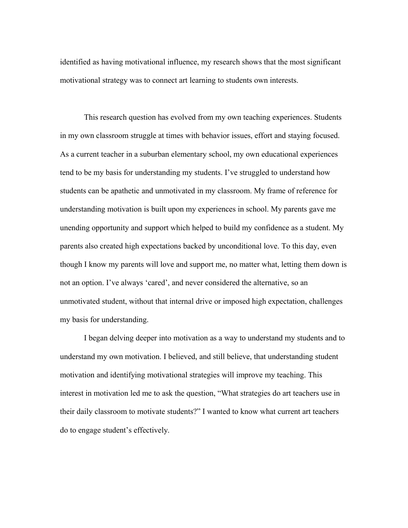identified as having motivational influence, my research shows that the most significant motivational strategy was to connect art learning to students own interests.

This research question has evolved from my own teaching experiences. Students in my own classroom struggle at times with behavior issues, effort and staying focused. As a current teacher in a suburban elementary school, my own educational experiences tend to be my basis for understanding my students. I've struggled to understand how students can be apathetic and unmotivated in my classroom. My frame of reference for understanding motivation is built upon my experiences in school. My parents gave me unending opportunity and support which helped to build my confidence as a student. My parents also created high expectations backed by unconditional love. To this day, even though I know my parents will love and support me, no matter what, letting them down is not an option. I've always 'cared', and never considered the alternative, so an unmotivated student, without that internal drive or imposed high expectation, challenges my basis for understanding.

I began delving deeper into motivation as a way to understand my students and to understand my own motivation. I believed, and still believe, that understanding student motivation and identifying motivational strategies will improve my teaching. This interest in motivation led me to ask the question, "What strategies do art teachers use in their daily classroom to motivate students?" I wanted to know what current art teachers do to engage student's effectively.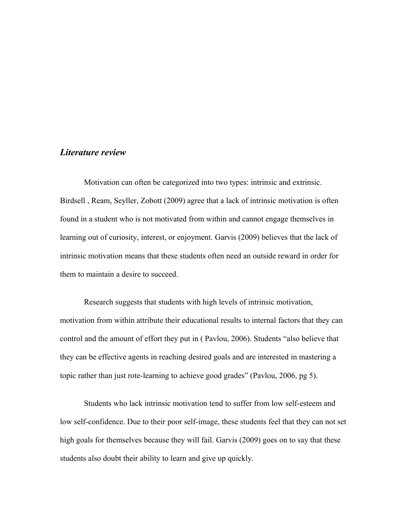## *Literature review*

Motivation can often be categorized into two types: intrinsic and extrinsic. Birdsell , Ream, Seyller, Zobott (2009) agree that a lack of intrinsic motivation is often found in a student who is not motivated from within and cannot engage themselves in learning out of curiosity, interest, or enjoyment. Garvis (2009) believes that the lack of intrinsic motivation means that these students often need an outside reward in order for them to maintain a desire to succeed.

Research suggests that students with high levels of intrinsic motivation, motivation from within attribute their educational results to internal factors that they can control and the amount of effort they put in ( Pavlou, 2006). Students "also believe that they can be effective agents in reaching desired goals and are interested in mastering a topic rather than just rote-learning to achieve good grades" (Pavlou, 2006, pg 5).

Students who lack intrinsic motivation tend to suffer from low self-esteem and low self-confidence. Due to their poor self-image, these students feel that they can not set high goals for themselves because they will fail. Garvis (2009) goes on to say that these students also doubt their ability to learn and give up quickly.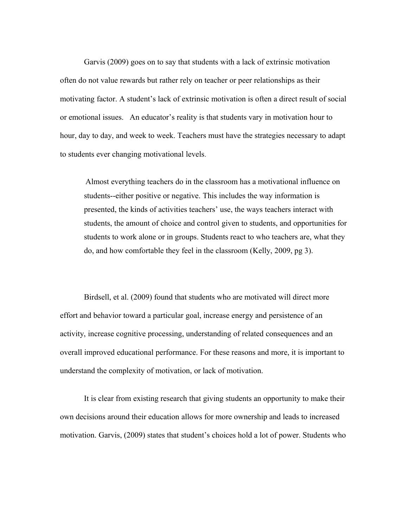Garvis (2009) goes on to say that students with a lack of extrinsic motivation often do not value rewards but rather rely on teacher or peer relationships as their motivating factor. A student's lack of extrinsic motivation is often a direct result of social or emotional issues. An educator's reality is that students vary in motivation hour to hour, day to day, and week to week. Teachers must have the strategies necessary to adapt to students ever changing motivational levels.

Almost everything teachers do in the classroom has a motivational influence on students--either positive or negative. This includes the way information is presented, the kinds of activities teachers' use, the ways teachers interact with students, the amount of choice and control given to students, and opportunities for students to work alone or in groups. Students react to who teachers are, what they do, and how comfortable they feel in the classroom (Kelly, 2009, pg 3).

Birdsell, et al. (2009) found that students who are motivated will direct more effort and behavior toward a particular goal, increase energy and persistence of an activity, increase cognitive processing, understanding of related consequences and an overall improved educational performance. For these reasons and more, it is important to understand the complexity of motivation, or lack of motivation.

It is clear from existing research that giving students an opportunity to make their own decisions around their education allows for more ownership and leads to increased motivation. Garvis, (2009) states that student's choices hold a lot of power. Students who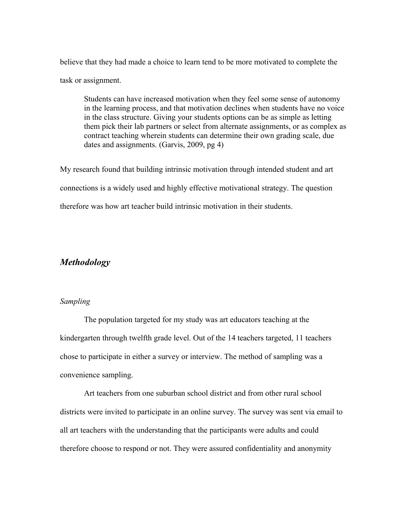believe that they had made a choice to learn tend to be more motivated to complete the task or assignment.

Students can have increased motivation when they feel some sense of autonomy in the learning process, and that motivation declines when students have no voice in the class structure. Giving your students options can be as simple as letting them pick their lab partners or select from alternate assignments, or as complex as contract teaching wherein students can determine their own grading scale, due dates and assignments. (Garvis, 2009, pg 4)

My research found that building intrinsic motivation through intended student and art connections is a widely used and highly effective motivational strategy. The question therefore was how art teacher build intrinsic motivation in their students.

## *Methodology*

#### *Sampling*

The population targeted for my study was art educators teaching at the kindergarten through twelfth grade level. Out of the 14 teachers targeted, 11 teachers chose to participate in either a survey or interview. The method of sampling was a convenience sampling.

Art teachers from one suburban school district and from other rural school districts were invited to participate in an online survey. The survey was sent via email to all art teachers with the understanding that the participants were adults and could therefore choose to respond or not. They were assured confidentiality and anonymity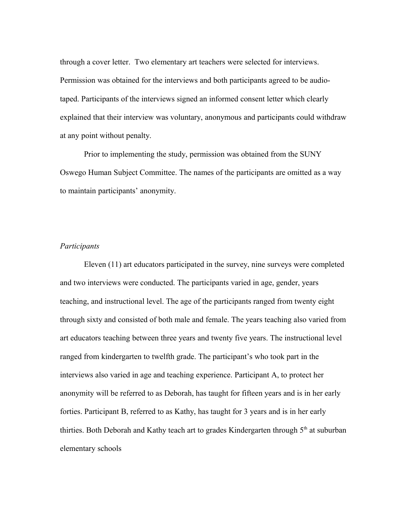through a cover letter. Two elementary art teachers were selected for interviews. Permission was obtained for the interviews and both participants agreed to be audiotaped. Participants of the interviews signed an informed consent letter which clearly explained that their interview was voluntary, anonymous and participants could withdraw at any point without penalty.

Prior to implementing the study, permission was obtained from the SUNY Oswego Human Subject Committee. The names of the participants are omitted as a way to maintain participants' anonymity.

#### *Participants*

Eleven (11) art educators participated in the survey, nine surveys were completed and two interviews were conducted. The participants varied in age, gender, years teaching, and instructional level. The age of the participants ranged from twenty eight through sixty and consisted of both male and female. The years teaching also varied from art educators teaching between three years and twenty five years. The instructional level ranged from kindergarten to twelfth grade. The participant's who took part in the interviews also varied in age and teaching experience. Participant A, to protect her anonymity will be referred to as Deborah, has taught for fifteen years and is in her early forties. Participant B, referred to as Kathy, has taught for 3 years and is in her early thirties. Both Deborah and Kathy teach art to grades Kindergarten through  $5<sup>th</sup>$  at suburban elementary schools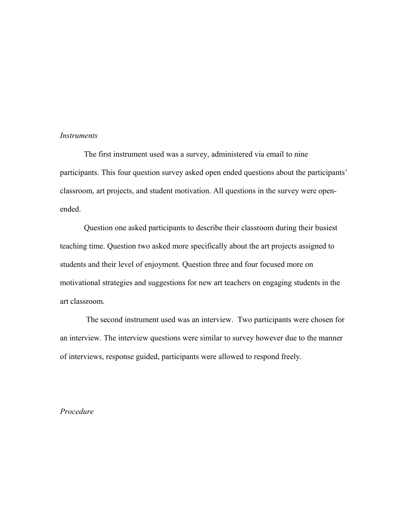#### *Instruments*

The first instrument used was a survey, administered via email to nine participants. This four question survey asked open ended questions about the participants' classroom, art projects, and student motivation. All questions in the survey were openended.

Question one asked participants to describe their classroom during their busiest teaching time. Question two asked more specifically about the art projects assigned to students and their level of enjoyment. Question three and four focused more on motivational strategies and suggestions for new art teachers on engaging students in the art classroom.

 The second instrument used was an interview. Two participants were chosen for an interview. The interview questions were similar to survey however due to the manner of interviews, response guided, participants were allowed to respond freely.

*Procedure*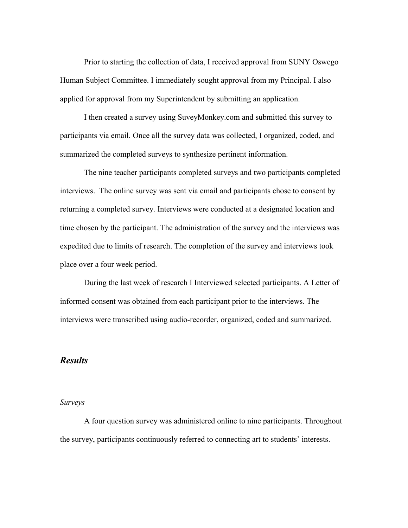Prior to starting the collection of data, I received approval from SUNY Oswego Human Subject Committee. I immediately sought approval from my Principal. I also applied for approval from my Superintendent by submitting an application.

I then created a survey using SuveyMonkey.com and submitted this survey to participants via email. Once all the survey data was collected, I organized, coded, and summarized the completed surveys to synthesize pertinent information.

The nine teacher participants completed surveys and two participants completed interviews. The online survey was sent via email and participants chose to consent by returning a completed survey. Interviews were conducted at a designated location and time chosen by the participant. The administration of the survey and the interviews was expedited due to limits of research. The completion of the survey and interviews took place over a four week period.

During the last week of research I Interviewed selected participants. A Letter of informed consent was obtained from each participant prior to the interviews. The interviews were transcribed using audio-recorder, organized, coded and summarized.

## *Results*

#### *Surveys*

A four question survey was administered online to nine participants. Throughout the survey, participants continuously referred to connecting art to students' interests.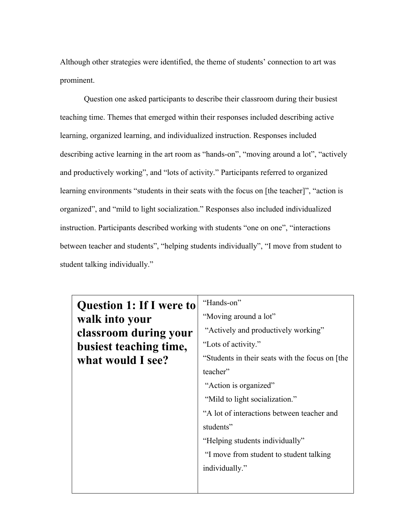Although other strategies were identified, the theme of students' connection to art was prominent.

Question one asked participants to describe their classroom during their busiest teaching time. Themes that emerged within their responses included describing active learning, organized learning, and individualized instruction. Responses included describing active learning in the art room as "hands-on", "moving around a lot", "actively and productively working", and "lots of activity." Participants referred to organized learning environments "students in their seats with the focus on [the teacher]", "action is organized", and "mild to light socialization." Responses also included individualized instruction. Participants described working with students "one on one", "interactions between teacher and students", "helping students individually", "I move from student to student talking individually."

| <b>Question 1: If I were to</b> | "Hands-on"                                      |
|---------------------------------|-------------------------------------------------|
| walk into your                  | "Moving around a lot"                           |
| classroom during your           | "Actively and productively working"             |
| busiest teaching time,          | "Lots of activity."                             |
| what would I see?               | "Students in their seats with the focus on [the |
|                                 | teacher"                                        |
|                                 | "Action is organized"                           |
|                                 | "Mild to light socialization."                  |
|                                 | "A lot of interactions between teacher and      |
|                                 | students"                                       |
|                                 | "Helping students individually"                 |
|                                 | "I move from student to student talking         |
|                                 | individually."                                  |
|                                 |                                                 |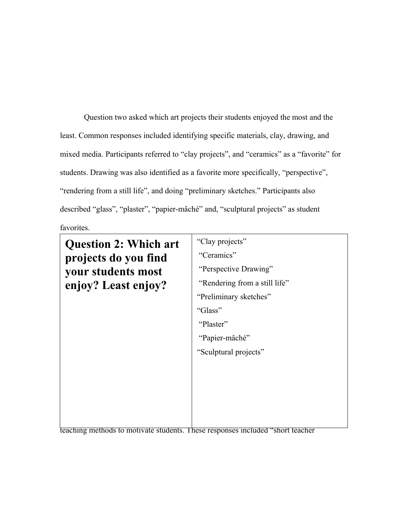Question two asked which art projects their students enjoyed the most and the least. Common responses included identifying specific materials, clay, drawing, and mixed media. Participants referred to "clay projects", and "ceramics" as a "favorite" for students. Drawing was also identified as a favorite more specifically, "perspective", "rendering from a still life", and doing "preliminary sketches." Participants also described "glass", "plaster", "papier-mâché" and, "sculptural projects" as student favorites.

 $\mathbf{Q} \mathbf{V}$  **Least eniov**  $\mathbf{V}$  is "Rendering from a still life" "Preliminary sketches"  $t_{\text{max}}$  focus on meeting studient needs and interests in art as a way to motivate, and interests in a motivate, and interests in a way to motivate, and in a way to motivate, and in an  $t_{\text{max}}$ teacher centered methods. Student centered strategies were described by papier-mâché" by participants as  $\frac{1}{2}$  $rac{1}{\sqrt{2\pi}}$  set complete as  $rac{1}{\sqrt{2\pi}}$ students what interests them", project ideas that relate or draw from [students] own experiences", "real world applications", and "[student] work is [their] signature." The second theme included teacher centered strategies where teachers focus on their own **Question 2: Which art projects do you find your students most enjoy? Least enjoy?** "Clay projects" "Ceramics" "Perspective Drawing" "Glass" "Plaster" "Sculptural projects"

teaching methods to motivate students. These responses included "short teacher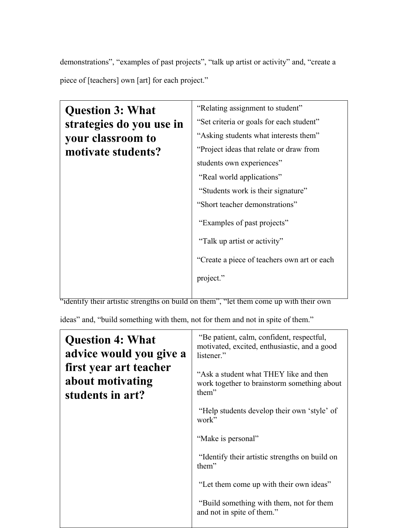demonstrations", "examples of past projects", "talk up artist or activity" and, "create a piece of [teachers] own [art] for each project."

| <b>Question 3: What</b>  | "Relating assignment to student"             |
|--------------------------|----------------------------------------------|
| strategies do you use in | "Set criteria or goals for each student"     |
| your classroom to        | "Asking students what interests them"        |
| motivate students?       | "Project ideas that relate or draw from      |
|                          | students own experiences"                    |
|                          | "Real world applications"                    |
|                          | "Students work is their signature"           |
|                          | "Short teacher demonstrations"               |
|                          | "Examples of past projects"                  |
|                          | "Talk up artist or activity"                 |
|                          | "Create a piece of teachers own art or each" |
|                          | project."                                    |
|                          |                                              |

"identify their artistic strengths on build on them", "let them come up with their own

ideas" and, "build something with them, not for them and not in spite of them."

| <b>Question 4: What</b><br>advice would you give a             | "Be patient, calm, confident, respectful,<br>motivated, excited, enthusiastic, and a good<br>listener." |
|----------------------------------------------------------------|---------------------------------------------------------------------------------------------------------|
| first year art teacher<br>about motivating<br>students in art? | "Ask a student what THEY like and then<br>work together to brainstorm something about<br>them"          |
|                                                                | "Help students develop their own 'style' of<br>work"                                                    |
|                                                                | "Make is personal"                                                                                      |
|                                                                | "Identify their artistic strengths on build on<br>them"                                                 |
|                                                                | "Let them come up with their own ideas"                                                                 |
|                                                                | "Build something with them, not for them<br>and not in spite of them."                                  |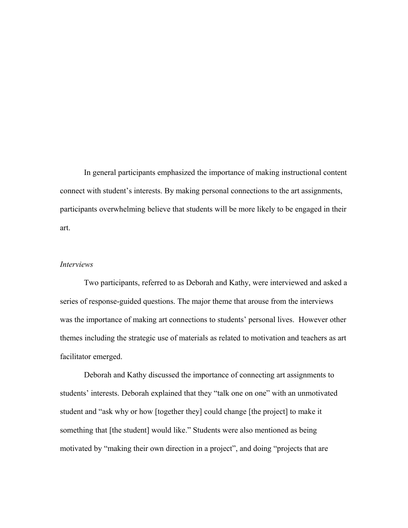In general participants emphasized the importance of making instructional content connect with student's interests. By making personal connections to the art assignments, participants overwhelming believe that students will be more likely to be engaged in their art.

#### *Interviews*

Two participants, referred to as Deborah and Kathy, were interviewed and asked a series of response-guided questions. The major theme that arouse from the interviews was the importance of making art connections to students' personal lives. However other themes including the strategic use of materials as related to motivation and teachers as art facilitator emerged.

Deborah and Kathy discussed the importance of connecting art assignments to students' interests. Deborah explained that they "talk one on one" with an unmotivated student and "ask why or how [together they] could change [the project] to make it something that [the student] would like." Students were also mentioned as being motivated by "making their own direction in a project", and doing "projects that are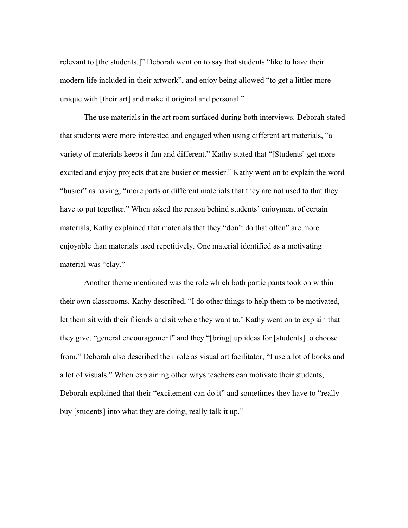relevant to [the students.]" Deborah went on to say that students "like to have their modern life included in their artwork", and enjoy being allowed "to get a littler more unique with [their art] and make it original and personal."

The use materials in the art room surfaced during both interviews. Deborah stated that students were more interested and engaged when using different art materials, "a variety of materials keeps it fun and different." Kathy stated that "[Students] get more excited and enjoy projects that are busier or messier." Kathy went on to explain the word "busier" as having, "more parts or different materials that they are not used to that they have to put together." When asked the reason behind students' enjoyment of certain materials, Kathy explained that materials that they "don't do that often" are more enjoyable than materials used repetitively. One material identified as a motivating material was "clay."

Another theme mentioned was the role which both participants took on within their own classrooms. Kathy described, "I do other things to help them to be motivated, let them sit with their friends and sit where they want to.' Kathy went on to explain that they give, "general encouragement" and they "[bring] up ideas for [students] to choose from." Deborah also described their role as visual art facilitator, "I use a lot of books and a lot of visuals." When explaining other ways teachers can motivate their students, Deborah explained that their "excitement can do it" and sometimes they have to "really buy [students] into what they are doing, really talk it up."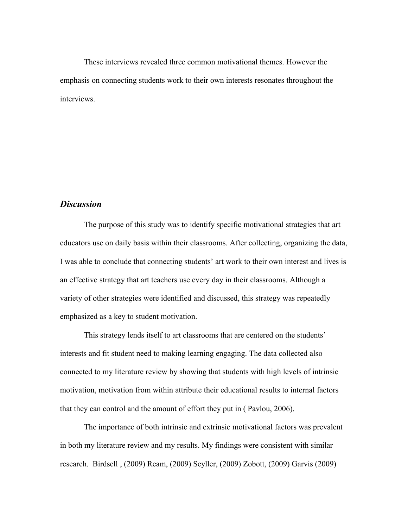These interviews revealed three common motivational themes. However the emphasis on connecting students work to their own interests resonates throughout the interviews.

## *Discussion*

The purpose of this study was to identify specific motivational strategies that art educators use on daily basis within their classrooms. After collecting, organizing the data, I was able to conclude that connecting students' art work to their own interest and lives is an effective strategy that art teachers use every day in their classrooms. Although a variety of other strategies were identified and discussed, this strategy was repeatedly emphasized as a key to student motivation.

This strategy lends itself to art classrooms that are centered on the students' interests and fit student need to making learning engaging. The data collected also connected to my literature review by showing that students with high levels of intrinsic motivation, motivation from within attribute their educational results to internal factors that they can control and the amount of effort they put in ( Pavlou, 2006).

The importance of both intrinsic and extrinsic motivational factors was prevalent in both my literature review and my results. My findings were consistent with similar research. Birdsell , (2009) Ream, (2009) Seyller, (2009) Zobott, (2009) Garvis (2009)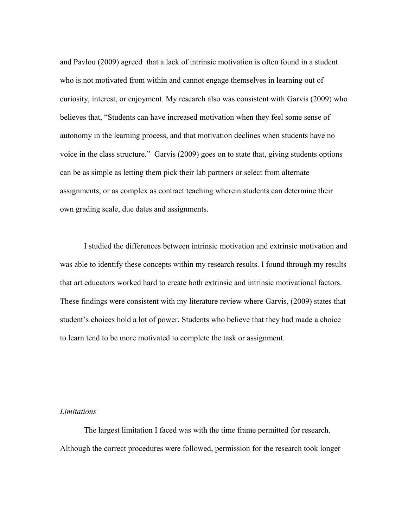and Pavlou (2009) agreed that a lack of intrinsic motivation is often found in a student who is not motivated from within and cannot engage themselves in learning out of curiosity, interest, or enjoyment. My research also was consistent with Garvis (2009) who believes that, "Students can have increased motivation when they feel some sense of autonomy in the learning process, and that motivation declines when students have no voice in the class structure." Garvis (2009) goes on to state that, giving students options can be as simple as letting them pick their lab partners or select from alternate assignments, or as complex as contract teaching wherein students can determine their own grading scale, due dates and assignments.

I studied the differences between intrinsic motivation and extrinsic motivation and was able to identify these concepts within my research results. I found through my results that art educators worked hard to create both extrinsic and intrinsic motivational factors. These findings were consistent with my literature review where Garvis, (2009) states that student's choices hold a lot of power. Students who believe that they had made a choice to learn tend to be more motivated to complete the task or assignment.

#### *Limitations*

The largest limitation I faced was with the time frame permitted for research. Although the correct procedures were followed, permission for the research took longer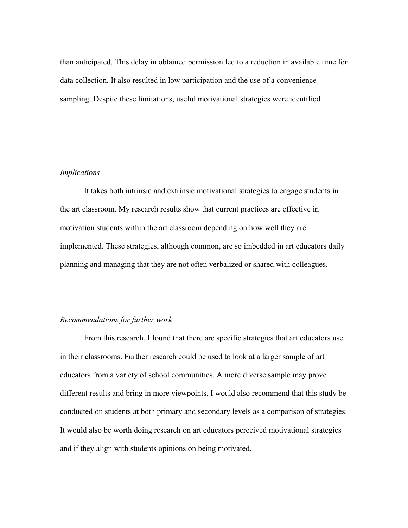than anticipated. This delay in obtained permission led to a reduction in available time for data collection. It also resulted in low participation and the use of a convenience sampling. Despite these limitations, useful motivational strategies were identified.

#### *Implications*

It takes both intrinsic and extrinsic motivational strategies to engage students in the art classroom. My research results show that current practices are effective in motivation students within the art classroom depending on how well they are implemented. These strategies, although common, are so imbedded in art educators daily planning and managing that they are not often verbalized or shared with colleagues.

## *Recommendations for further work*

From this research, I found that there are specific strategies that art educators use in their classrooms. Further research could be used to look at a larger sample of art educators from a variety of school communities. A more diverse sample may prove different results and bring in more viewpoints. I would also recommend that this study be conducted on students at both primary and secondary levels as a comparison of strategies. It would also be worth doing research on art educators perceived motivational strategies and if they align with students opinions on being motivated.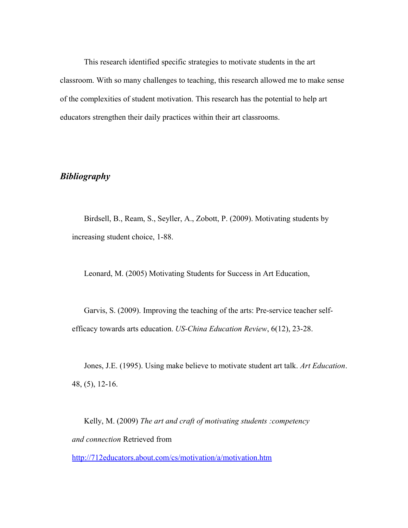This research identified specific strategies to motivate students in the art classroom. With so many challenges to teaching, this research allowed me to make sense of the complexities of student motivation. This research has the potential to help art educators strengthen their daily practices within their art classrooms.

## *Bibliography*

Birdsell, B., Ream, S., Seyller, A., Zobott, P. (2009). Motivating students by increasing student choice, 1-88.

Leonard, M. (2005) Motivating Students for Success in Art Education,

Garvis, S. (2009). Improving the teaching of the arts: Pre-service teacher selfefficacy towards arts education. *US-China Education Review*, 6(12), 23-28.

Jones, J.E. (1995). Using make believe to motivate student art talk. *Art Education*. 48, (5), 12-16.

Kelly, M. (2009) *The art and craft of motivating students :competency and connection* Retrieved from

<http://712educators.about.com/cs/motivation/a/motivation.htm>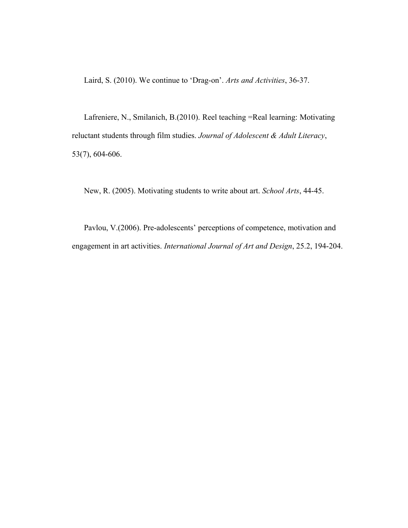Laird, S. (2010). We continue to 'Drag-on'. *Arts and Activities*, 36-37.

Lafreniere, N., Smilanich, B.(2010). Reel teaching =Real learning: Motivating reluctant students through film studies. *Journal of Adolescent & Adult Literacy*, 53(7), 604-606.

New, R. (2005). Motivating students to write about art. *School Arts*, 44-45.

Pavlou, V.(2006). Pre-adolescents' perceptions of competence, motivation and engagement in art activities. *International Journal of Art and Design*, 25.2, 194-204.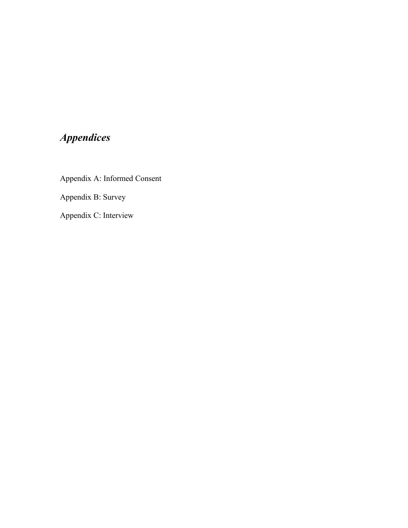# *Appendices*

Appendix A: Informed Consent Appendix B: Survey

Appendix C: Interview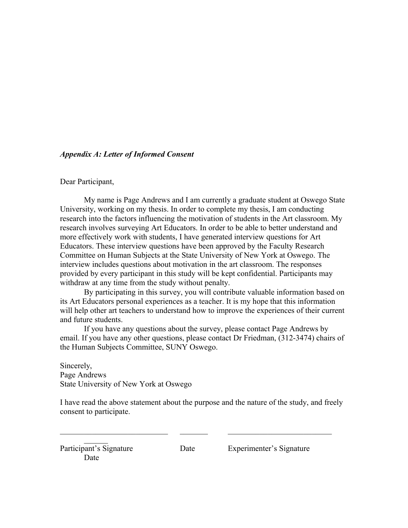### *Appendix A: Letter of Informed Consent*

#### Dear Participant,

My name is Page Andrews and I am currently a graduate student at Oswego State University, working on my thesis. In order to complete my thesis, I am conducting research into the factors influencing the motivation of students in the Art classroom. My research involves surveying Art Educators. In order to be able to better understand and more effectively work with students, I have generated interview questions for Art Educators. These interview questions have been approved by the Faculty Research Committee on Human Subjects at the State University of New York at Oswego. The interview includes questions about motivation in the art classroom. The responses provided by every participant in this study will be kept confidential. Participants may withdraw at any time from the study without penalty.

By participating in this survey, you will contribute valuable information based on its Art Educators personal experiences as a teacher. It is my hope that this information will help other art teachers to understand how to improve the experiences of their current and future students.

If you have any questions about the survey, please contact Page Andrews by email. If you have any other questions, please contact Dr Friedman, (312-3474) chairs of the Human Subjects Committee, SUNY Oswego.

Sincerely, Page Andrews State University of New York at Oswego

I have read the above statement about the purpose and the nature of the study, and freely consent to participate.

 $\mathcal{L}_\text{max}$  and the contract of the contract of the contract of the contract of the contract of the contract of

 $\mathcal{L}$ Date

Participant's Signature Date Experimenter's Signature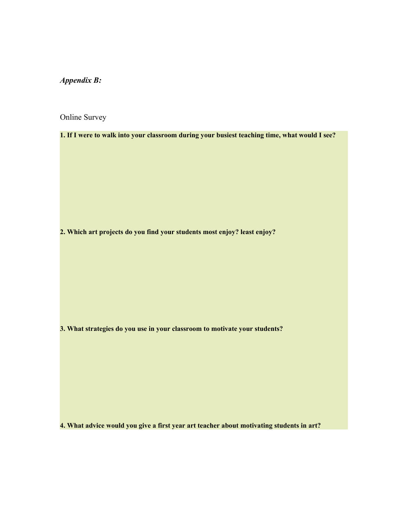*Appendix B:*

Online Survey

**1. If I were to walk into your classroom during your busiest teaching time, what would I see?**

**2. Which art projects do you find your students most enjoy? least enjoy?** 

**3. What strategies do you use in your classroom to motivate your students?**

**4. What advice would you give a first year art teacher about motivating students in art?**